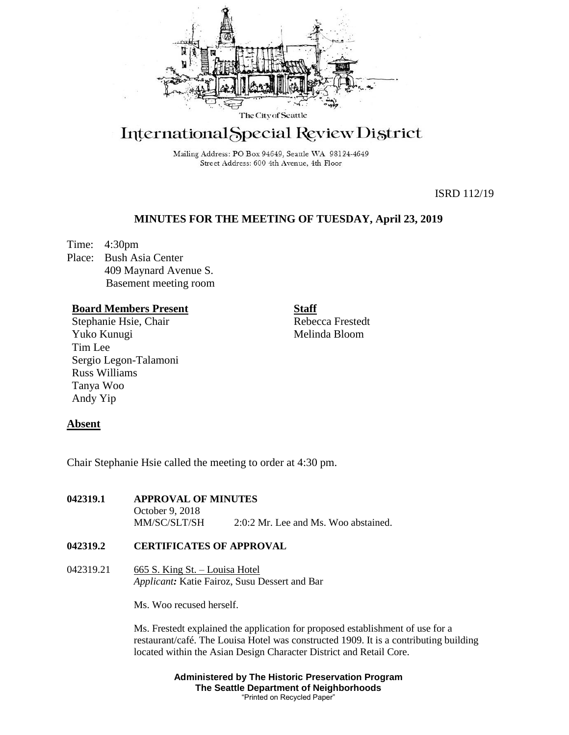

# International Special Review District

Mailing Address: PO Box 94649, Seattle WA 98124-4649 Street Address: 600 4th Avenue, 4th Floor

ISRD 112/19

## **MINUTES FOR THE MEETING OF TUESDAY, April 23, 2019**

Time: 4:30pm Place: Bush Asia Center 409 Maynard Avenue S. Basement meeting room

### **Board Members Present**

Stephanie Hsie, Chair Yuko Kunugi Tim Lee Sergio Legon-Talamoni Russ Williams Tanya Woo Andy Yip

**Staff**

Rebecca Frestedt Melinda Bloom

## **Absent**

Chair Stephanie Hsie called the meeting to order at 4:30 pm.

#### **042319.1 APPROVAL OF MINUTES**

October 9, 2018 MM/SC/SLT/SH 2:0:2 Mr. Lee and Ms. Woo abstained.

### **042319.2 CERTIFICATES OF APPROVAL**

042319.21 665 S. King St. – Louisa Hotel *Applicant:* Katie Fairoz, Susu Dessert and Bar

Ms. Woo recused herself.

Ms. Frestedt explained the application for proposed establishment of use for a restaurant/café. The Louisa Hotel was constructed 1909. It is a contributing building located within the Asian Design Character District and Retail Core.

> **Administered by The Historic Preservation Program The Seattle Department of Neighborhoods** "Printed on Recycled Paper"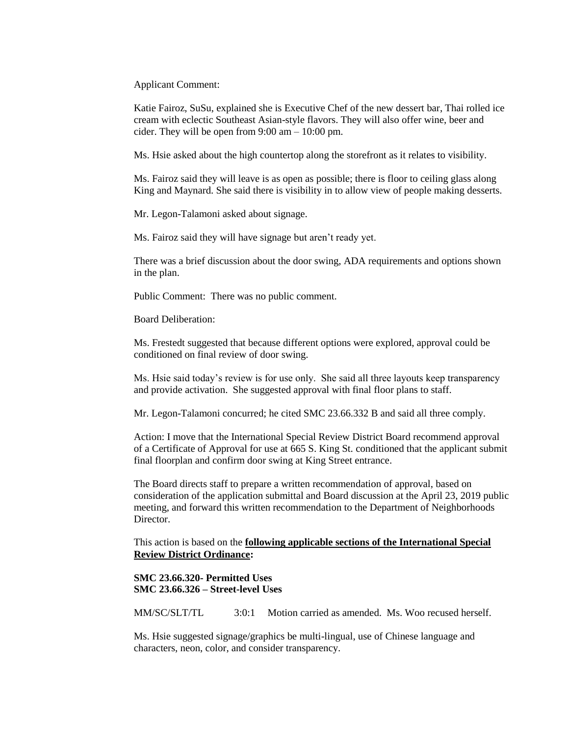Applicant Comment:

Katie Fairoz, SuSu, explained she is Executive Chef of the new dessert bar, Thai rolled ice cream with eclectic Southeast Asian-style flavors. They will also offer wine, beer and cider. They will be open from  $9:00 \text{ am} - 10:00 \text{ pm}$ .

Ms. Hsie asked about the high countertop along the storefront as it relates to visibility.

Ms. Fairoz said they will leave is as open as possible; there is floor to ceiling glass along King and Maynard. She said there is visibility in to allow view of people making desserts.

Mr. Legon-Talamoni asked about signage.

Ms. Fairoz said they will have signage but aren't ready yet.

There was a brief discussion about the door swing, ADA requirements and options shown in the plan.

Public Comment: There was no public comment.

Board Deliberation:

Ms. Frestedt suggested that because different options were explored, approval could be conditioned on final review of door swing.

Ms. Hsie said today's review is for use only. She said all three layouts keep transparency and provide activation. She suggested approval with final floor plans to staff.

Mr. Legon-Talamoni concurred; he cited SMC 23.66.332 B and said all three comply.

Action: I move that the International Special Review District Board recommend approval of a Certificate of Approval for use at 665 S. King St. conditioned that the applicant submit final floorplan and confirm door swing at King Street entrance.

The Board directs staff to prepare a written recommendation of approval, based on consideration of the application submittal and Board discussion at the April 23, 2019 public meeting, and forward this written recommendation to the Department of Neighborhoods Director.

This action is based on the **following applicable sections of the International Special Review District Ordinance:** 

**SMC 23.66.320- Permitted Uses SMC 23.66.326 – Street-level Uses**

MM/SC/SLT/TL 3:0:1 Motion carried as amended. Ms. Woo recused herself.

Ms. Hsie suggested signage/graphics be multi-lingual, use of Chinese language and characters, neon, color, and consider transparency.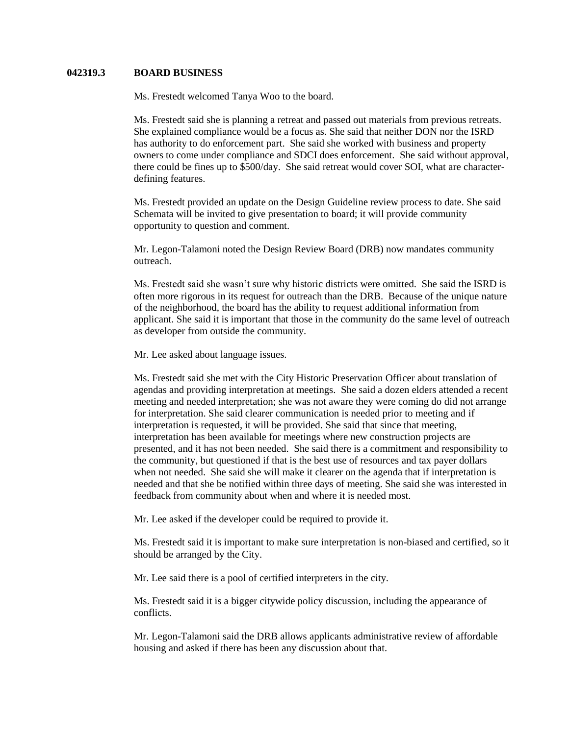#### **042319.3 BOARD BUSINESS**

Ms. Frestedt welcomed Tanya Woo to the board.

Ms. Frestedt said she is planning a retreat and passed out materials from previous retreats. She explained compliance would be a focus as. She said that neither DON nor the ISRD has authority to do enforcement part. She said she worked with business and property owners to come under compliance and SDCI does enforcement. She said without approval, there could be fines up to \$500/day. She said retreat would cover SOI, what are characterdefining features.

Ms. Frestedt provided an update on the Design Guideline review process to date. She said Schemata will be invited to give presentation to board; it will provide community opportunity to question and comment.

Mr. Legon-Talamoni noted the Design Review Board (DRB) now mandates community outreach.

Ms. Frestedt said she wasn't sure why historic districts were omitted. She said the ISRD is often more rigorous in its request for outreach than the DRB. Because of the unique nature of the neighborhood, the board has the ability to request additional information from applicant. She said it is important that those in the community do the same level of outreach as developer from outside the community.

Mr. Lee asked about language issues.

Ms. Frestedt said she met with the City Historic Preservation Officer about translation of agendas and providing interpretation at meetings. She said a dozen elders attended a recent meeting and needed interpretation; she was not aware they were coming do did not arrange for interpretation. She said clearer communication is needed prior to meeting and if interpretation is requested, it will be provided. She said that since that meeting, interpretation has been available for meetings where new construction projects are presented, and it has not been needed. She said there is a commitment and responsibility to the community, but questioned if that is the best use of resources and tax payer dollars when not needed. She said she will make it clearer on the agenda that if interpretation is needed and that she be notified within three days of meeting. She said she was interested in feedback from community about when and where it is needed most.

Mr. Lee asked if the developer could be required to provide it.

Ms. Frestedt said it is important to make sure interpretation is non-biased and certified, so it should be arranged by the City.

Mr. Lee said there is a pool of certified interpreters in the city.

Ms. Frestedt said it is a bigger citywide policy discussion, including the appearance of conflicts.

Mr. Legon-Talamoni said the DRB allows applicants administrative review of affordable housing and asked if there has been any discussion about that.